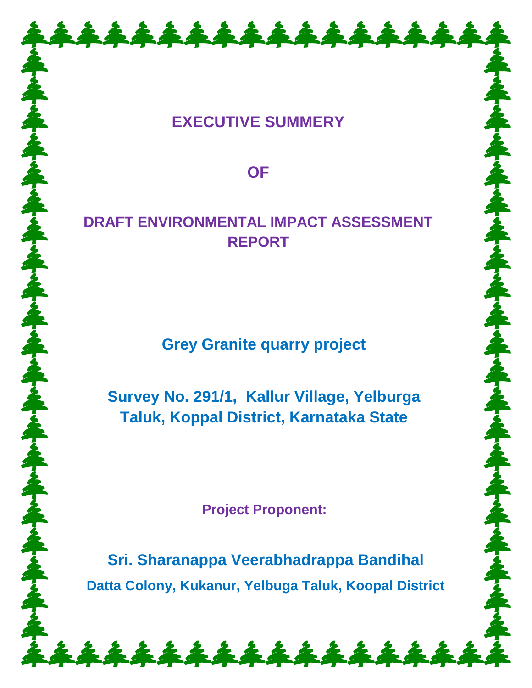# **EXECUTIVE SUMMERY**

\*\*\*\*\*\*\*\*\*\*\*\*\*\*\*\*

**OF** 

# **DRAFT ENVIRONMENTAL IMPACT ASSESSMENT REPORT**

**Grey Granite quarry project**

**Survey No. 291/1, Kallur Village, Yelburga Taluk, Koppal District, Karnataka State**

**Project Proponent:**

**Sri. Sharanappa Veerabhadrappa Bandihal Datta Colony, Kukanur, Yelbuga Taluk, Koopal District**

\*\*\*\*\*\*\*\*\*\*\*\*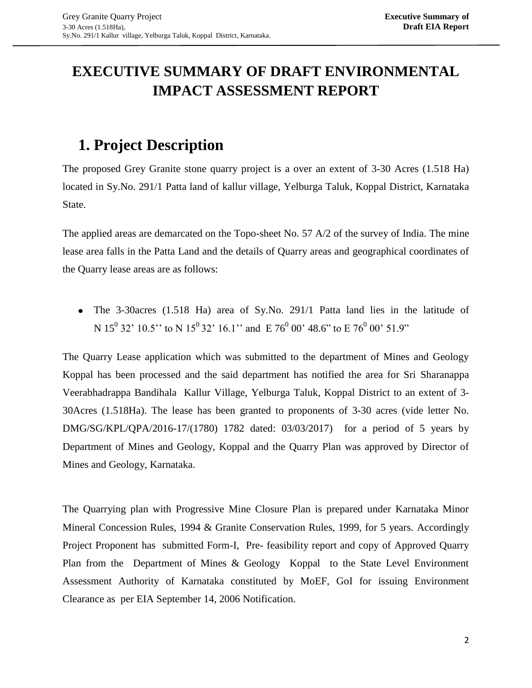# **EXECUTIVE SUMMARY OF DRAFT ENVIRONMENTAL IMPACT ASSESSMENT REPORT**

# **1. Project Description**

The proposed Grey Granite stone quarry project is a over an extent of 3-30 Acres (1.518 Ha) located in Sy.No. 291/1 Patta land of kallur village, Yelburga Taluk, Koppal District, Karnataka State.

The applied areas are demarcated on the Topo-sheet No. 57 A/2 of the survey of India. The mine lease area falls in the Patta Land and the details of Quarry areas and geographical coordinates of the Quarry lease areas are as follows:

The 3-30acres (1.518 Ha) area of Sy.No. 291/1 Patta land lies in the latitude of N 15<sup>0</sup> 32' 10.5'' to N 15<sup>0</sup> 32' 16.1'' and E 76<sup>0</sup> 00' 48.6" to E 76<sup>0</sup> 00' 51.9"

The Quarry Lease application which was submitted to the department of Mines and Geology Koppal has been processed and the said department has notified the area for Sri Sharanappa Veerabhadrappa Bandihala Kallur Village, Yelburga Taluk, Koppal District to an extent of 3- 30Acres (1.518Ha). The lease has been granted to proponents of 3-30 acres (vide letter No. DMG/SG/KPL/QPA/2016-17/(1780) 1782 dated: 03/03/2017) for a period of 5 years by Department of Mines and Geology, Koppal and the Quarry Plan was approved by Director of Mines and Geology, Karnataka.

The Quarrying plan with Progressive Mine Closure Plan is prepared under Karnataka Minor Mineral Concession Rules, 1994 & Granite Conservation Rules, 1999, for 5 years. Accordingly Project Proponent has submitted Form-I, Pre- feasibility report and copy of Approved Quarry Plan from the Department of Mines & Geology Koppal to the State Level Environment Assessment Authority of Karnataka constituted by MoEF, GoI for issuing Environment Clearance as per EIA September 14, 2006 Notification.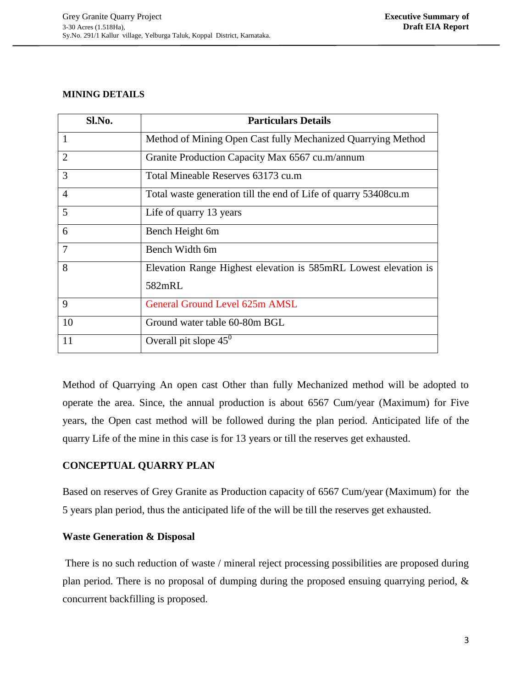#### **MINING DETAILS**

| Sl.No.         | <b>Particulars Details</b>                                      |  |  |  |
|----------------|-----------------------------------------------------------------|--|--|--|
|                | Method of Mining Open Cast fully Mechanized Quarrying Method    |  |  |  |
| $\overline{2}$ | Granite Production Capacity Max 6567 cu.m/annum                 |  |  |  |
| 3              | Total Mineable Reserves 63173 cu.m                              |  |  |  |
| $\overline{4}$ | Total waste generation till the end of Life of quarry 53408cu.m |  |  |  |
| 5              | Life of quarry 13 years                                         |  |  |  |
| 6              | Bench Height 6m                                                 |  |  |  |
| 7              | Bench Width 6m                                                  |  |  |  |
| 8              | Elevation Range Highest elevation is 585mRL Lowest elevation is |  |  |  |
|                | 582mRL                                                          |  |  |  |
| 9              | General Ground Level 625m AMSL                                  |  |  |  |
| 10             | Ground water table 60-80m BGL                                   |  |  |  |
| 11             | Overall pit slope $45^{\circ}$                                  |  |  |  |

Method of Quarrying An open cast Other than fully Mechanized method will be adopted to operate the area. Since, the annual production is about 6567 Cum/year (Maximum) for Five years, the Open cast method will be followed during the plan period. Anticipated life of the quarry Life of the mine in this case is for 13 years or till the reserves get exhausted.

## **CONCEPTUAL QUARRY PLAN**

Based on reserves of Grey Granite as Production capacity of 6567 Cum/year (Maximum) for the 5 years plan period, thus the anticipated life of the will be till the reserves get exhausted.

## **Waste Generation & Disposal**

There is no such reduction of waste / mineral reject processing possibilities are proposed during plan period. There is no proposal of dumping during the proposed ensuing quarrying period, & concurrent backfilling is proposed.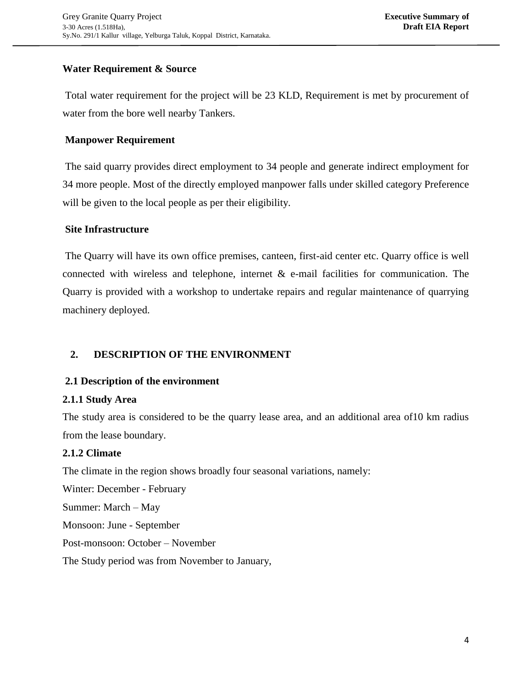## **Water Requirement & Source**

Total water requirement for the project will be 23 KLD, Requirement is met by procurement of water from the bore well nearby Tankers.

## **Manpower Requirement**

The said quarry provides direct employment to 34 people and generate indirect employment for 34 more people. Most of the directly employed manpower falls under skilled category Preference will be given to the local people as per their eligibility.

## **Site Infrastructure**

The Quarry will have its own office premises, canteen, first-aid center etc. Quarry office is well connected with wireless and telephone, internet  $\&$  e-mail facilities for communication. The Quarry is provided with a workshop to undertake repairs and regular maintenance of quarrying machinery deployed.

## **2. DESCRIPTION OF THE ENVIRONMENT**

## **2.1 Description of the environment**

## **2.1.1 Study Area**

The study area is considered to be the quarry lease area, and an additional area of10 km radius from the lease boundary.

## **2.1.2 Climate**

The climate in the region shows broadly four seasonal variations, namely:

Winter: December - February Summer: March – May Monsoon: June - September Post-monsoon: October – November

The Study period was from November to January,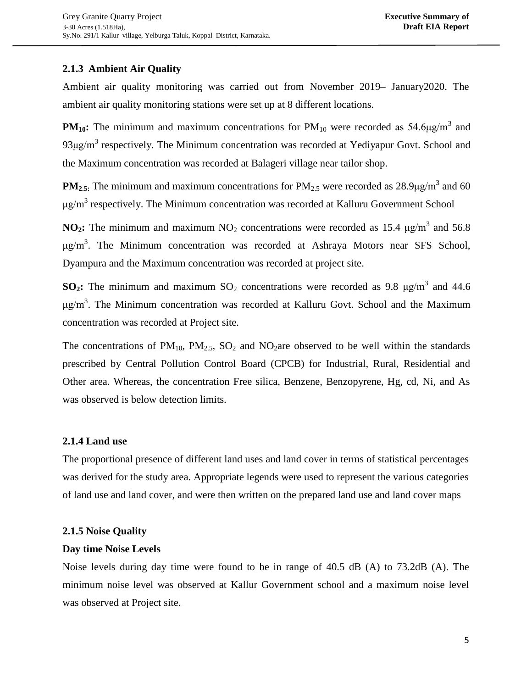## **2.1.3 Ambient Air Quality**

Ambient air quality monitoring was carried out from November 2019– January2020. The ambient air quality monitoring stations were set up at 8 different locations.

**PM**<sub>10</sub>: The minimum and maximum concentrations for  $PM_{10}$  were recorded as 54.6 $\mu$ g/m<sup>3</sup> and 93μg/m<sup>3</sup> respectively. The Minimum concentration was recorded at Yediyapur Govt. School and the Maximum concentration was recorded at Balageri village near tailor shop.

**PM<sub>2.5</sub>**: The minimum and maximum concentrations for  $PM_{2.5}$  were recorded as 28.9µg/m<sup>3</sup> and 60  $\mu$ g/m<sup>3</sup> respectively. The Minimum concentration was recorded at Kalluru Government School

**NO<sub>2</sub>**: The minimum and maximum  $NO_2$  concentrations were recorded as 15.4  $\mu$ g/m<sup>3</sup> and 56.8  $\mu$ g/m<sup>3</sup>. The Minimum concentration was recorded at Ashraya Motors near SFS School, Dyampura and the Maximum concentration was recorded at project site.

**SO<sub>2</sub>**: The minimum and maximum SO<sub>2</sub> concentrations were recorded as 9.8  $\mu$ g/m<sup>3</sup> and 44.6  $\mu$ g/m<sup>3</sup>. The Minimum concentration was recorded at Kalluru Govt. School and the Maximum concentration was recorded at Project site.

The concentrations of  $PM_{10}$ ,  $PM_{2.5}$ ,  $SO_2$  and  $NO_2$ are observed to be well within the standards prescribed by Central Pollution Control Board (CPCB) for Industrial, Rural, Residential and Other area. Whereas, the concentration Free silica, Benzene, Benzopyrene, Hg, cd, Ni, and As was observed is below detection limits.

## **2.1.4 Land use**

The proportional presence of different land uses and land cover in terms of statistical percentages was derived for the study area. Appropriate legends were used to represent the various categories of land use and land cover, and were then written on the prepared land use and land cover maps

## **2.1.5 Noise Quality**

## **Day time Noise Levels**

Noise levels during day time were found to be in range of 40.5 dB (A) to 73.2dB (A). The minimum noise level was observed at Kallur Government school and a maximum noise level was observed at Project site.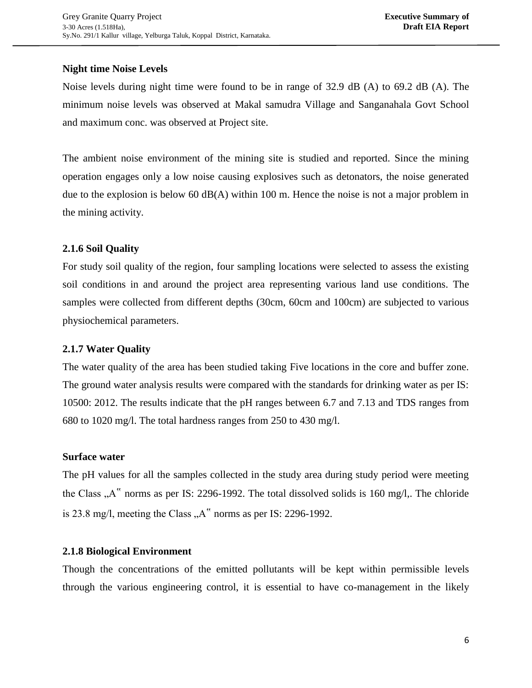## **Night time Noise Levels**

Noise levels during night time were found to be in range of 32.9 dB (A) to 69.2 dB (A). The minimum noise levels was observed at Makal samudra Village and Sanganahala Govt School and maximum conc. was observed at Project site.

The ambient noise environment of the mining site is studied and reported. Since the mining operation engages only a low noise causing explosives such as detonators, the noise generated due to the explosion is below 60  $dB(A)$  within 100 m. Hence the noise is not a major problem in the mining activity.

## **2.1.6 Soil Quality**

For study soil quality of the region, four sampling locations were selected to assess the existing soil conditions in and around the project area representing various land use conditions. The samples were collected from different depths (30cm, 60cm and 100cm) are subjected to various physiochemical parameters.

## **2.1.7 Water Quality**

The water quality of the area has been studied taking Five locations in the core and buffer zone. The ground water analysis results were compared with the standards for drinking water as per IS: 10500: 2012. The results indicate that the pH ranges between 6.7 and 7.13 and TDS ranges from 680 to 1020 mg/l. The total hardness ranges from 250 to 430 mg/l.

## **Surface water**

The pH values for all the samples collected in the study area during study period were meeting the Class  $A^{\prime\prime}$  norms as per IS: 2296-1992. The total dissolved solids is 160 mg/l,. The chloride is 23.8 mg/l, meeting the Class  $.A$ " norms as per IS: 2296-1992.

## **2.1.8 Biological Environment**

Though the concentrations of the emitted pollutants will be kept within permissible levels through the various engineering control, it is essential to have co-management in the likely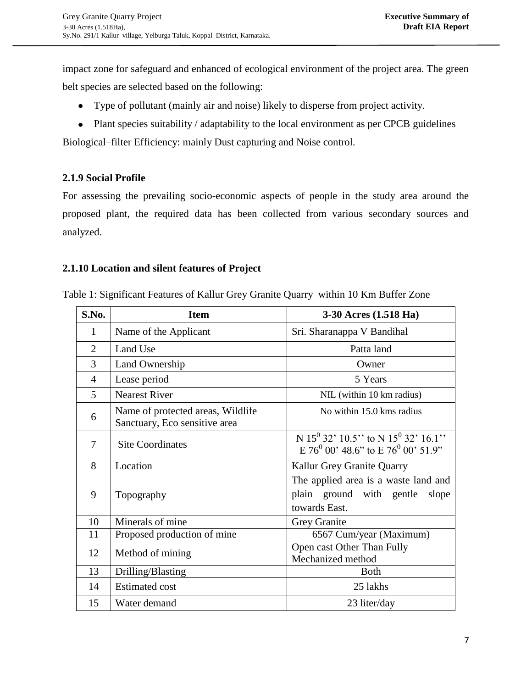impact zone for safeguard and enhanced of ecological environment of the project area. The green belt species are selected based on the following:

- Type of pollutant (mainly air and noise) likely to disperse from project activity.
- Plant species suitability / adaptability to the local environment as per CPCB guidelines

Biological–filter Efficiency: mainly Dust capturing and Noise control.

## **2.1.9 Social Profile**

For assessing the prevailing socio-economic aspects of people in the study area around the proposed plant, the required data has been collected from various secondary sources and analyzed.

## **2.1.10 Location and silent features of Project**

| S.No.          | <b>Item</b>                                                        | 3-30 Acres (1.518 Ha)                                                                                                        |
|----------------|--------------------------------------------------------------------|------------------------------------------------------------------------------------------------------------------------------|
| 1              | Name of the Applicant                                              | Sri. Sharanappa V Bandihal                                                                                                   |
| $\overline{2}$ | Land Use                                                           | Patta land                                                                                                                   |
| $\overline{3}$ | Land Ownership                                                     | Owner                                                                                                                        |
| $\overline{4}$ | Lease period                                                       | 5 Years                                                                                                                      |
| 5              | <b>Nearest River</b>                                               | NIL (within 10 km radius)                                                                                                    |
| 6              | Name of protected areas, Wildlife<br>Sanctuary, Eco sensitive area | No within 15.0 kms radius                                                                                                    |
| $\tau$         | <b>Site Coordinates</b>                                            | N 15 <sup>0</sup> 32' 10.5" to N 15 <sup>0</sup> 32' 16.1"<br>$E$ 76 <sup>0</sup> 00' 48.6" to $E$ 76 <sup>0</sup> 00' 51.9" |
| 8              | Location                                                           | Kallur Grey Granite Quarry                                                                                                   |
| 9              | Topography                                                         | The applied area is a waste land and<br>plain ground with gentle<br>slope<br>towards East.                                   |
| 10             | Minerals of mine                                                   | Grey Granite                                                                                                                 |
| 11             | Proposed production of mine                                        | 6567 Cum/year (Maximum)                                                                                                      |
| 12             | Method of mining                                                   | Open cast Other Than Fully<br>Mechanized method                                                                              |
| 13             | Drilling/Blasting                                                  | <b>Both</b>                                                                                                                  |
| 14             | <b>Estimated cost</b>                                              | 25 lakhs                                                                                                                     |
| 15             | Water demand                                                       | 23 liter/day                                                                                                                 |

Table 1: Significant Features of Kallur Grey Granite Quarry within 10 Km Buffer Zone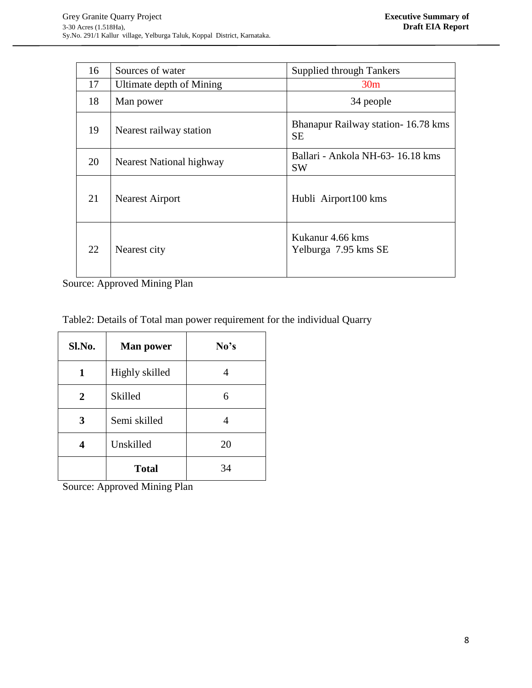| 16 | Sources of water         | <b>Supplied through Tankers</b>                 |  |
|----|--------------------------|-------------------------------------------------|--|
| 17 | Ultimate depth of Mining | 30 <sub>m</sub>                                 |  |
| 18 | Man power                | 34 people                                       |  |
| 19 | Nearest railway station  | Bhanapur Railway station-16.78 kms<br><b>SE</b> |  |
| 20 | Nearest National highway | Ballari - Ankola NH-63-16.18 kms<br><b>SW</b>   |  |
| 21 | <b>Nearest Airport</b>   | Hubli Airport100 kms                            |  |
| 22 | Nearest city             | Kukanur 4.66 kms<br>Yelburga 7.95 kms SE        |  |

Source: Approved Mining Plan

Table2: Details of Total man power requirement for the individual Quarry

| Sl.No. | <b>Man power</b> | No's |  |  |
|--------|------------------|------|--|--|
| 1      | Highly skilled   |      |  |  |
| 2      | Skilled<br>6     |      |  |  |
| 3      | Semi skilled     |      |  |  |
|        | Unskilled        | 20   |  |  |
|        | <b>Total</b>     | 34   |  |  |

Source: Approved Mining Plan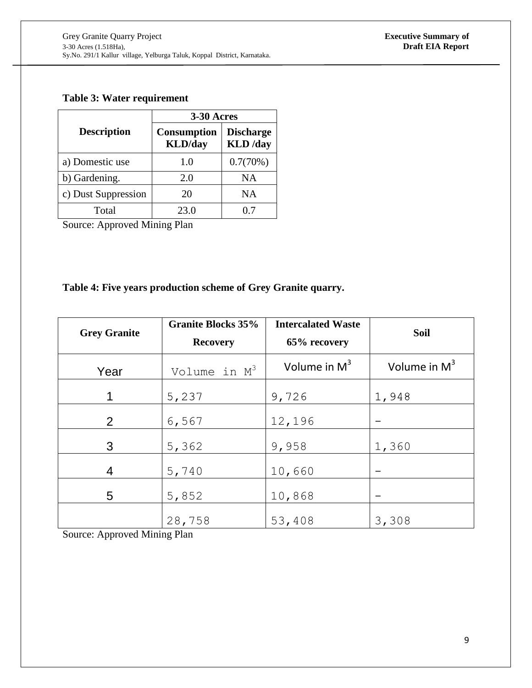## **Table 3: Water requirement**

|                     | 3-30 Acres                            |                                     |  |
|---------------------|---------------------------------------|-------------------------------------|--|
| <b>Description</b>  | <b>Consumption</b><br><b>KLD</b> /day | <b>Discharge</b><br><b>KLD</b> /day |  |
| a) Domestic use     | 1.0                                   | 0.7(70%)                            |  |
| b) Gardening.       | 2.0                                   | <b>NA</b>                           |  |
| c) Dust Suppression | 20                                    | NΑ                                  |  |
| Total               | 23.0                                  | 07                                  |  |

Source: Approved Mining Plan

## **Table 4: Five years production scheme of Grey Granite quarry.**

| <b>Grey Granite</b> | <b>Granite Blocks 35%</b><br><b>Recovery</b> | <b>Intercalated Waste</b><br>65% recovery | <b>Soil</b>    |
|---------------------|----------------------------------------------|-------------------------------------------|----------------|
| Year                | Volume in M <sup>3</sup>                     | Volume in $M3$                            | Volume in $M3$ |
| 1                   | 5,237                                        | 9,726                                     | 1,948          |
| 2<br>6,567          |                                              | 12,196                                    |                |
| 3<br>5,362          |                                              | 9,958                                     | 1,360          |
| 4                   | 5,740                                        | 10,660                                    |                |
| 5                   | 5,852                                        | 10,868                                    |                |
|                     | 28,758                                       | 53,408                                    | 3,308          |

Source: Approved Mining Plan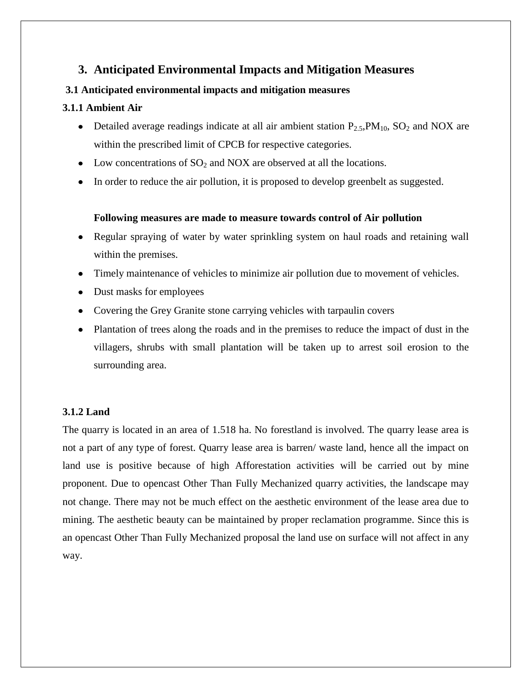## **3. Anticipated Environmental Impacts and Mitigation Measures**

## **3.1 Anticipated environmental impacts and mitigation measures**

## **3.1.1 Ambient Air**

- Detailed average readings indicate at all air ambient station  $P_{2.5}PM_{10}$ ,  $SO_2$  and NOX are within the prescribed limit of CPCB for respective categories.
- Low concentrations of  $SO_2$  and NOX are observed at all the locations.
- In order to reduce the air pollution, it is proposed to develop greenbelt as suggested.

## **Following measures are made to measure towards control of Air pollution**

- Regular spraying of water by water sprinkling system on haul roads and retaining wall within the premises.
- Timely maintenance of vehicles to minimize air pollution due to movement of vehicles.
- Dust masks for employees
- Covering the Grey Granite stone carrying vehicles with tarpaulin covers
- Plantation of trees along the roads and in the premises to reduce the impact of dust in the villagers, shrubs with small plantation will be taken up to arrest soil erosion to the surrounding area.

## **3.1.2 Land**

The quarry is located in an area of 1.518 ha. No forestland is involved. The quarry lease area is not a part of any type of forest. Quarry lease area is barren/ waste land, hence all the impact on land use is positive because of high Afforestation activities will be carried out by mine proponent. Due to opencast Other Than Fully Mechanized quarry activities, the landscape may not change. There may not be much effect on the aesthetic environment of the lease area due to mining. The aesthetic beauty can be maintained by proper reclamation programme. Since this is an opencast Other Than Fully Mechanized proposal the land use on surface will not affect in any way.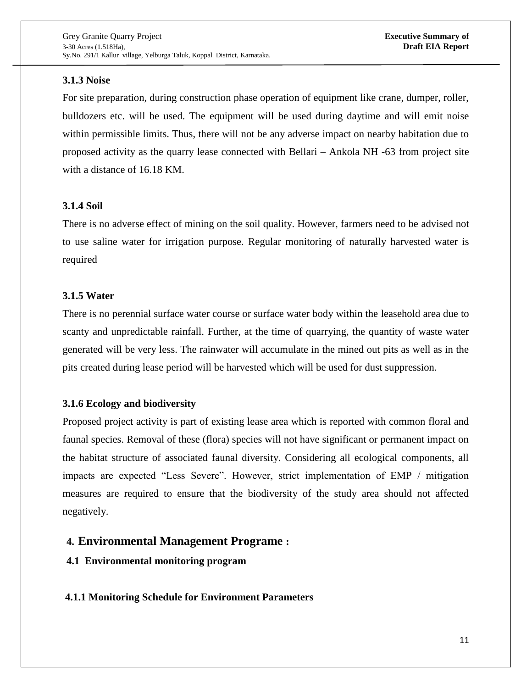## **3.1.3 Noise**

For site preparation, during construction phase operation of equipment like crane, dumper, roller, bulldozers etc. will be used. The equipment will be used during daytime and will emit noise within permissible limits. Thus, there will not be any adverse impact on nearby habitation due to proposed activity as the quarry lease connected with Bellari – Ankola NH -63 from project site with a distance of 16.18 KM.

## **3.1.4 Soil**

There is no adverse effect of mining on the soil quality. However, farmers need to be advised not to use saline water for irrigation purpose. Regular monitoring of naturally harvested water is required

## **3.1.5 Water**

There is no perennial surface water course or surface water body within the leasehold area due to scanty and unpredictable rainfall. Further, at the time of quarrying, the quantity of waste water generated will be very less. The rainwater will accumulate in the mined out pits as well as in the pits created during lease period will be harvested which will be used for dust suppression.

## **3.1.6 Ecology and biodiversity**

Proposed project activity is part of existing lease area which is reported with common floral and faunal species. Removal of these (flora) species will not have significant or permanent impact on the habitat structure of associated faunal diversity. Considering all ecological components, all impacts are expected "Less Severe". However, strict implementation of EMP / mitigation measures are required to ensure that the biodiversity of the study area should not affected negatively.

## **4. Environmental Management Programe :**

## **4.1 Environmental monitoring program**

## **4.1.1 Monitoring Schedule for Environment Parameters**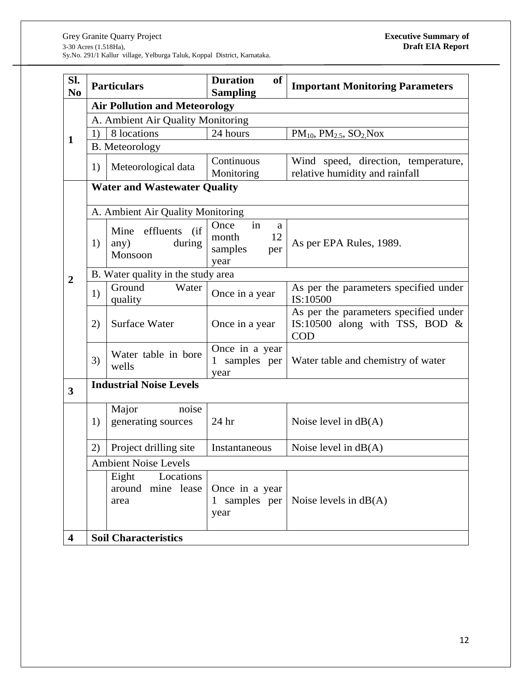| Sl.<br>N <sub>0</sub>   | <b>Particulars</b>                  |                                                       | <b>Duration</b><br><b>of</b><br><b>Sampling</b> | <b>Important Monitoring Parameters</b>                                                   |  |  |
|-------------------------|-------------------------------------|-------------------------------------------------------|-------------------------------------------------|------------------------------------------------------------------------------------------|--|--|
|                         |                                     | <b>Air Pollution and Meteorology</b>                  |                                                 |                                                                                          |  |  |
|                         | A. Ambient Air Quality Monitoring   |                                                       |                                                 |                                                                                          |  |  |
| $\mathbf{1}$            | 1)                                  | 8 locations                                           | 24 hours                                        | $PM_{10}$ , $PM_{2.5}$ , $SO_2$ Nox                                                      |  |  |
|                         |                                     | <b>B.</b> Meteorology                                 |                                                 |                                                                                          |  |  |
|                         | 1)                                  | Meteorological data                                   | Continuous                                      | Wind speed, direction, temperature,                                                      |  |  |
|                         |                                     |                                                       | Monitoring                                      | relative humidity and rainfall                                                           |  |  |
|                         | <b>Water and Wastewater Quality</b> |                                                       |                                                 |                                                                                          |  |  |
|                         |                                     | A. Ambient Air Quality Monitoring                     |                                                 |                                                                                          |  |  |
|                         |                                     | effluents<br>(i f)<br>Mine                            | in<br>Once<br>a                                 |                                                                                          |  |  |
|                         | 1)                                  | during<br>any)                                        | 12<br>month                                     | As per EPA Rules, 1989.                                                                  |  |  |
|                         |                                     | Monsoon                                               | samples<br>per                                  |                                                                                          |  |  |
|                         |                                     |                                                       | year                                            |                                                                                          |  |  |
| $\overline{2}$          |                                     | B. Water quality in the study area<br>Ground<br>Water |                                                 |                                                                                          |  |  |
|                         | 1)                                  | quality                                               | Once in a year                                  | As per the parameters specified under<br>IS:10500                                        |  |  |
|                         | 2)                                  | Surface Water                                         | Once in a year                                  | As per the parameters specified under<br>IS:10500 along with TSS, BOD $\&$<br><b>COD</b> |  |  |
|                         | 3)                                  | Water table in bore<br>wells                          | Once in a year<br>1 samples per<br>year         | Water table and chemistry of water                                                       |  |  |
| $\overline{\mathbf{3}}$ | <b>Industrial Noise Levels</b>      |                                                       |                                                 |                                                                                          |  |  |
|                         | 1)                                  | Major<br>noise<br>generating sources                  | 24 hr                                           | Noise level in $dB(A)$                                                                   |  |  |
|                         |                                     |                                                       |                                                 |                                                                                          |  |  |
|                         | 2)                                  | Project drilling site                                 | Instantaneous                                   | Noise level in $dB(A)$                                                                   |  |  |
|                         | <b>Ambient Noise Levels</b>         |                                                       |                                                 |                                                                                          |  |  |
|                         |                                     | Locations<br>Eight<br>around mine lease<br>area       | Once in a year<br>1 samples per<br>year         | Noise levels in $dB(A)$                                                                  |  |  |
| $\overline{\mathbf{4}}$ | <b>Soil Characteristics</b>         |                                                       |                                                 |                                                                                          |  |  |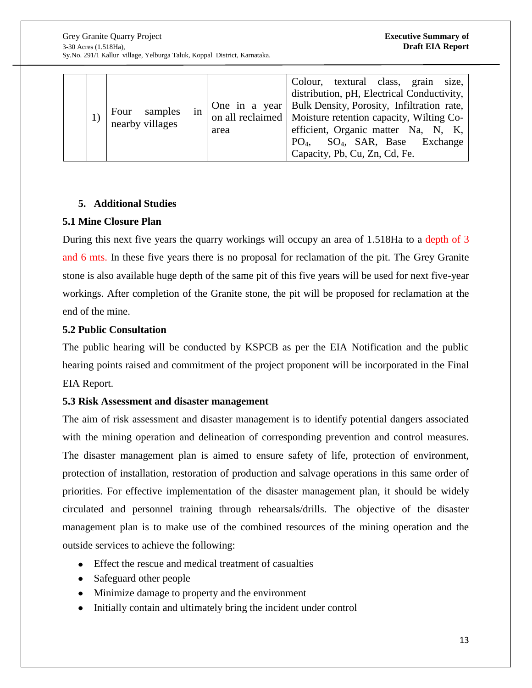|  |  | samples<br>Four<br>nearby villages | in | area | Colour, textural class, grain size,<br>distribution, pH, Electrical Conductivity,<br>One in a year   Bulk Density, Porosity, Infiltration rate,<br>on all reclaimed   Moisture retention capacity, Wilting Co-<br>efficient, Organic matter Na, N, K,<br>PO <sub>4</sub> , SO <sub>4</sub> , SAR, Base Exchange<br>Capacity, Pb, Cu, Zn, Cd, Fe. |
|--|--|------------------------------------|----|------|--------------------------------------------------------------------------------------------------------------------------------------------------------------------------------------------------------------------------------------------------------------------------------------------------------------------------------------------------|
|--|--|------------------------------------|----|------|--------------------------------------------------------------------------------------------------------------------------------------------------------------------------------------------------------------------------------------------------------------------------------------------------------------------------------------------------|

## **5. Additional Studies**

## **5.1 Mine Closure Plan**

During this next five years the quarry workings will occupy an area of 1.518Ha to a depth of 3 and 6 mts. In these five years there is no proposal for reclamation of the pit. The Grey Granite stone is also available huge depth of the same pit of this five years will be used for next five-year workings. After completion of the Granite stone, the pit will be proposed for reclamation at the end of the mine.

## **5.2 Public Consultation**

The public hearing will be conducted by KSPCB as per the EIA Notification and the public hearing points raised and commitment of the project proponent will be incorporated in the Final EIA Report.

## **5.3 Risk Assessment and disaster management**

The aim of risk assessment and disaster management is to identify potential dangers associated with the mining operation and delineation of corresponding prevention and control measures. The disaster management plan is aimed to ensure safety of life, protection of environment, protection of installation, restoration of production and salvage operations in this same order of priorities. For effective implementation of the disaster management plan, it should be widely circulated and personnel training through rehearsals/drills. The objective of the disaster management plan is to make use of the combined resources of the mining operation and the outside services to achieve the following:

- Effect the rescue and medical treatment of casualties
- Safeguard other people
- Minimize damage to property and the environment
- Initially contain and ultimately bring the incident under control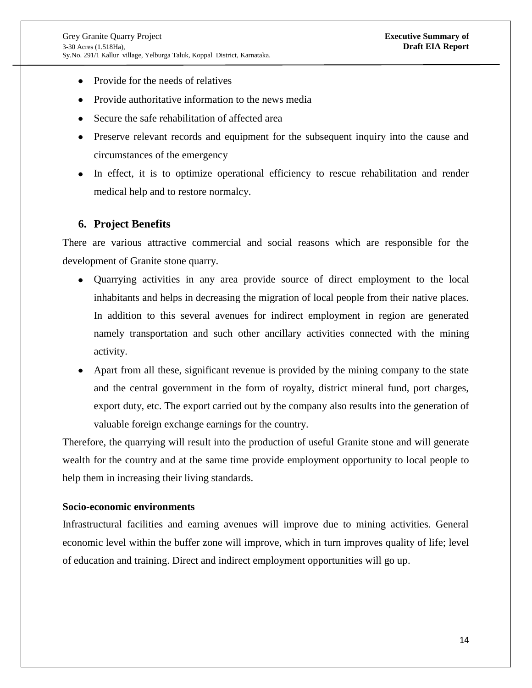- Provide for the needs of relatives
- Provide authoritative information to the news media
- Secure the safe rehabilitation of affected area
- Preserve relevant records and equipment for the subsequent inquiry into the cause and circumstances of the emergency
- In effect, it is to optimize operational efficiency to rescue rehabilitation and render medical help and to restore normalcy.

#### **6. Project Benefits**

There are various attractive commercial and social reasons which are responsible for the development of Granite stone quarry.

- Quarrying activities in any area provide source of direct employment to the local  $\bullet$ inhabitants and helps in decreasing the migration of local people from their native places. In addition to this several avenues for indirect employment in region are generated namely transportation and such other ancillary activities connected with the mining activity.
- Apart from all these, significant revenue is provided by the mining company to the state and the central government in the form of royalty, district mineral fund, port charges, export duty, etc. The export carried out by the company also results into the generation of valuable foreign exchange earnings for the country.

Therefore, the quarrying will result into the production of useful Granite stone and will generate wealth for the country and at the same time provide employment opportunity to local people to help them in increasing their living standards.

#### **Socio-economic environments**

Infrastructural facilities and earning avenues will improve due to mining activities. General economic level within the buffer zone will improve, which in turn improves quality of life; level of education and training. Direct and indirect employment opportunities will go up.